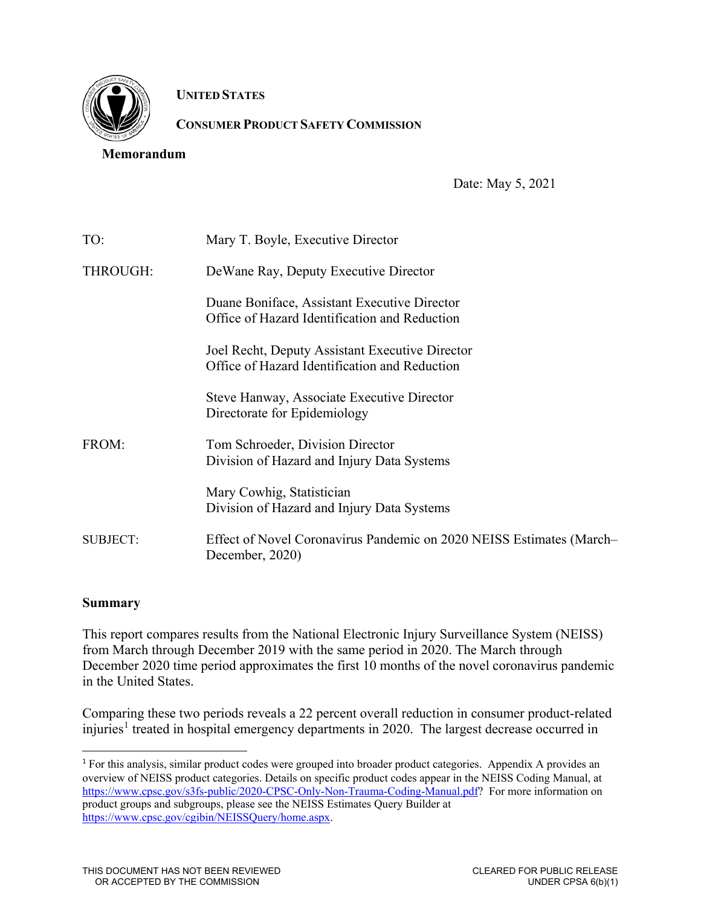

**UNITED STATES**

# **CONSUMER PRODUCT SAFETY COMMISSION**

#### **Memorandum**

Date: May 5, 2021

| TO:      | Mary T. Boyle, Executive Director                                                                |
|----------|--------------------------------------------------------------------------------------------------|
| THROUGH: | De Wane Ray, Deputy Executive Director                                                           |
|          | Duane Boniface, Assistant Executive Director<br>Office of Hazard Identification and Reduction    |
|          | Joel Recht, Deputy Assistant Executive Director<br>Office of Hazard Identification and Reduction |
|          | Steve Hanway, Associate Executive Director<br>Directorate for Epidemiology                       |
| FROM:    | Tom Schroeder, Division Director<br>Division of Hazard and Injury Data Systems                   |
|          | Mary Cowhig, Statistician<br>Division of Hazard and Injury Data Systems                          |
| SUBJECT: | Effect of Novel Coronavirus Pandemic on 2020 NEISS Estimates (March-<br>December, 2020)          |

### **Summary**

This report compares results from the National Electronic Injury Surveillance System (NEISS) from March through December 2019 with the same period in 2020. The March through December 2020 time period approximates the first 10 months of the novel coronavirus pandemic in the United States.

Comparing these two periods reveals a 22 percent overall reduction in consumer product-related injuries<sup>[1](#page-0-0)</sup> treated in hospital emergency departments in 2020. The largest decrease occurred in

<span id="page-0-0"></span><sup>1</sup> For this analysis, similar product codes were grouped into broader product categories. Appendix A provides an overview of NEISS product categories. Details on specific product codes appear in the NEISS Coding Manual, at [https://www.cpsc.gov/s3fs-public/2020-CPSC-Only-Non-Trauma-Coding-Manual.pdf?](https://www.cpsc.gov/s3fs-public/2020-CPSC-Only-Non-Trauma-Coding-Manual.pdf) For more information on product groups and subgroups, please see the NEISS Estimates Query Builder at [https://www.cpsc.gov/cgibin/NEISSQuery/home.aspx.](https://www.cpsc.gov/cgibin/NEISSQuery/home.aspx)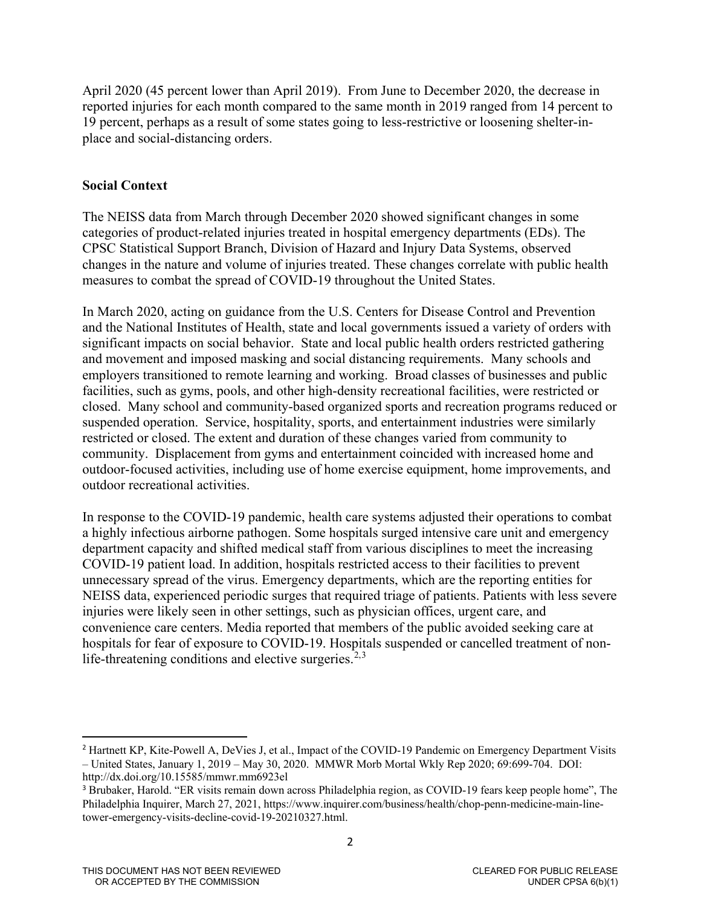April 2020 (45 percent lower than April 2019). From June to December 2020, the decrease in reported injuries for each month compared to the same month in 2019 ranged from 14 percent to 19 percent, perhaps as a result of some states going to less-restrictive or loosening shelter-inplace and social-distancing orders.

## **Social Context**

The NEISS data from March through December 2020 showed significant changes in some categories of product-related injuries treated in hospital emergency departments (EDs). The CPSC Statistical Support Branch, Division of Hazard and Injury Data Systems, observed changes in the nature and volume of injuries treated. These changes correlate with public health measures to combat the spread of COVID-19 throughout the United States.

In March 2020, acting on guidance from the U.S. Centers for Disease Control and Prevention and the National Institutes of Health, state and local governments issued a variety of orders with significant impacts on social behavior. State and local public health orders restricted gathering and movement and imposed masking and social distancing requirements. Many schools and employers transitioned to remote learning and working. Broad classes of businesses and public facilities, such as gyms, pools, and other high-density recreational facilities, were restricted or closed. Many school and community-based organized sports and recreation programs reduced or suspended operation. Service, hospitality, sports, and entertainment industries were similarly restricted or closed. The extent and duration of these changes varied from community to community. Displacement from gyms and entertainment coincided with increased home and outdoor-focused activities, including use of home exercise equipment, home improvements, and outdoor recreational activities.

In response to the COVID-19 pandemic, health care systems adjusted their operations to combat a highly infectious airborne pathogen. Some hospitals surged intensive care unit and emergency department capacity and shifted medical staff from various disciplines to meet the increasing COVID-19 patient load. In addition, hospitals restricted access to their facilities to prevent unnecessary spread of the virus. Emergency departments, which are the reporting entities for NEISS data, experienced periodic surges that required triage of patients. Patients with less severe injuries were likely seen in other settings, such as physician offices, urgent care, and convenience care centers. Media reported that members of the public avoided seeking care at hospitals for fear of exposure to COVID-19. Hospitals suspended or cancelled treatment of non-life-threatening conditions and elective surgeries.<sup>[2](#page-1-0),[3](#page-1-1)</sup>

<span id="page-1-0"></span><sup>2</sup> Hartnett KP, Kite-Powell A, DeVies J, et al., Impact of the COVID-19 Pandemic on Emergency Department Visits – United States, January 1, 2019 – May 30, 2020. MMWR Morb Mortal Wkly Rep 2020; 69:699-704. DOI: http://dx.doi.org/10.15585/mmwr.mm6923el

<span id="page-1-1"></span><sup>3</sup> Brubaker, Harold. "ER visits remain down across Philadelphia region, as COVID-19 fears keep people home", The Philadelphia Inquirer, March 27, 2021, https://www.inquirer.com/business/health/chop-penn-medicine-main-linetower-emergency-visits-decline-covid-19-20210327.html.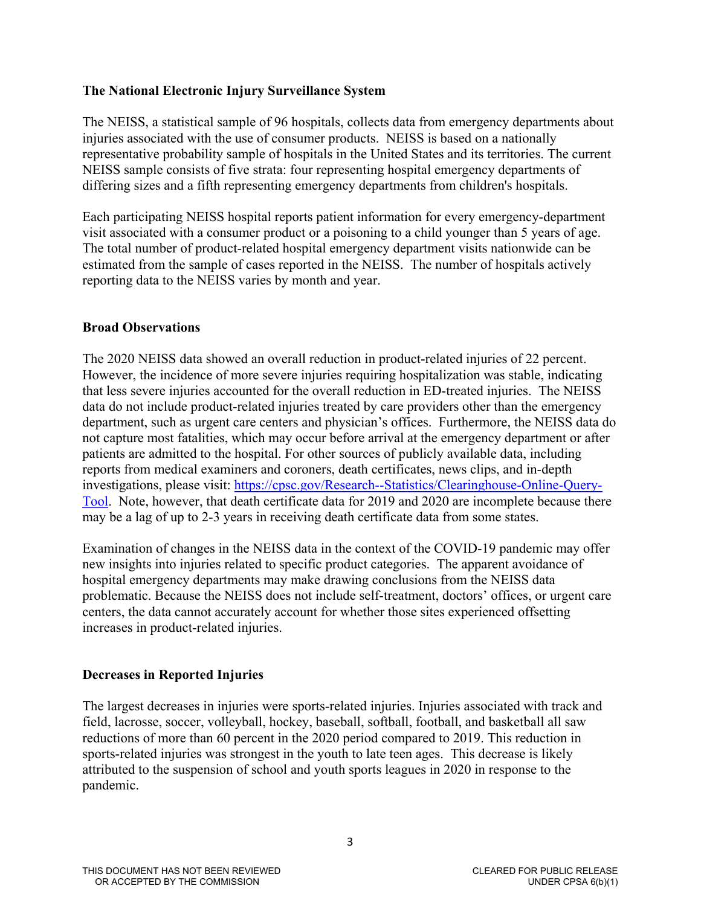## **The National Electronic Injury Surveillance System**

The NEISS, a statistical sample of 96 hospitals, collects data from emergency departments about injuries associated with the use of consumer products. NEISS is based on a nationally representative probability sample of hospitals in the United States and its territories. The current NEISS sample consists of five strata: four representing hospital emergency departments of differing sizes and a fifth representing emergency departments from children's hospitals.

Each participating NEISS hospital reports patient information for every emergency-department visit associated with a consumer product or a poisoning to a child younger than 5 years of age. The total number of product-related hospital emergency department visits nationwide can be estimated from the sample of cases reported in the NEISS. The number of hospitals actively reporting data to the NEISS varies by month and year.

### **Broad Observations**

The 2020 NEISS data showed an overall reduction in product-related injuries of 22 percent. However, the incidence of more severe injuries requiring hospitalization was stable, indicating that less severe injuries accounted for the overall reduction in ED-treated injuries. The NEISS data do not include product-related injuries treated by care providers other than the emergency department, such as urgent care centers and physician's offices. Furthermore, the NEISS data do not capture most fatalities, which may occur before arrival at the emergency department or after patients are admitted to the hospital. For other sources of publicly available data, including reports from medical examiners and coroners, death certificates, news clips, and in-depth investigations, please visit: [https://cpsc.gov/Research--Statistics/Clearinghouse-Online-Query-](https://cpsc.gov/Research--Statistics/Clearinghouse-Online-Query-Tool)[Tool.](https://cpsc.gov/Research--Statistics/Clearinghouse-Online-Query-Tool) Note, however, that death certificate data for 2019 and 2020 are incomplete because there may be a lag of up to 2-3 years in receiving death certificate data from some states.

Examination of changes in the NEISS data in the context of the COVID-19 pandemic may offer new insights into injuries related to specific product categories. The apparent avoidance of hospital emergency departments may make drawing conclusions from the NEISS data problematic. Because the NEISS does not include self-treatment, doctors' offices, or urgent care centers, the data cannot accurately account for whether those sites experienced offsetting increases in product-related injuries.

## **Decreases in Reported Injuries**

The largest decreases in injuries were sports-related injuries. Injuries associated with track and field, lacrosse, soccer, volleyball, hockey, baseball, softball, football, and basketball all saw reductions of more than 60 percent in the 2020 period compared to 2019. This reduction in sports-related injuries was strongest in the youth to late teen ages. This decrease is likely attributed to the suspension of school and youth sports leagues in 2020 in response to the pandemic.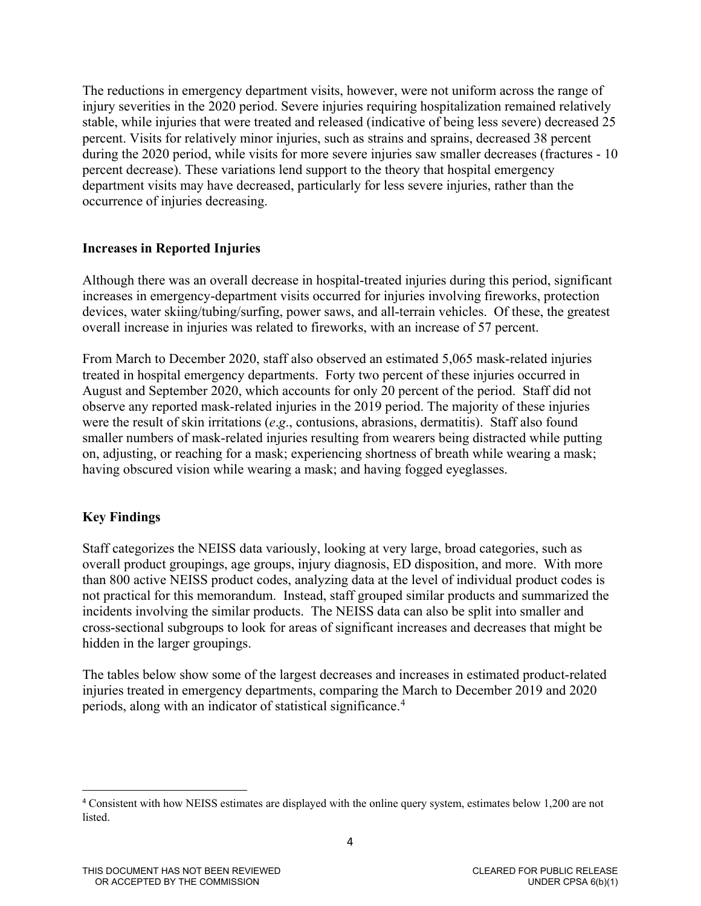The reductions in emergency department visits, however, were not uniform across the range of injury severities in the 2020 period. Severe injuries requiring hospitalization remained relatively stable, while injuries that were treated and released (indicative of being less severe) decreased 25 percent. Visits for relatively minor injuries, such as strains and sprains, decreased 38 percent during the 2020 period, while visits for more severe injuries saw smaller decreases (fractures - 10 percent decrease). These variations lend support to the theory that hospital emergency department visits may have decreased, particularly for less severe injuries, rather than the occurrence of injuries decreasing.

## **Increases in Reported Injuries**

Although there was an overall decrease in hospital-treated injuries during this period, significant increases in emergency-department visits occurred for injuries involving fireworks, protection devices, water skiing/tubing/surfing, power saws, and all-terrain vehicles. Of these, the greatest overall increase in injuries was related to fireworks, with an increase of 57 percent.

From March to December 2020, staff also observed an estimated 5,065 mask-related injuries treated in hospital emergency departments. Forty two percent of these injuries occurred in August and September 2020, which accounts for only 20 percent of the period. Staff did not observe any reported mask-related injuries in the 2019 period. The majority of these injuries were the result of skin irritations (*e*.*g*., contusions, abrasions, dermatitis). Staff also found smaller numbers of mask-related injuries resulting from wearers being distracted while putting on, adjusting, or reaching for a mask; experiencing shortness of breath while wearing a mask; having obscured vision while wearing a mask; and having fogged eyeglasses.

## **Key Findings**

 $\overline{a}$ 

Staff categorizes the NEISS data variously, looking at very large, broad categories, such as overall product groupings, age groups, injury diagnosis, ED disposition, and more. With more than 800 active NEISS product codes, analyzing data at the level of individual product codes is not practical for this memorandum. Instead, staff grouped similar products and summarized the incidents involving the similar products. The NEISS data can also be split into smaller and cross-sectional subgroups to look for areas of significant increases and decreases that might be hidden in the larger groupings.

The tables below show some of the largest decreases and increases in estimated product-related injuries treated in emergency departments, comparing the March to December 2019 and 2020 periods, along with an indicator of statistical significance. [4](#page-3-0)

<span id="page-3-0"></span><sup>4</sup> Consistent with how NEISS estimates are displayed with the online query system, estimates below 1,200 are not listed.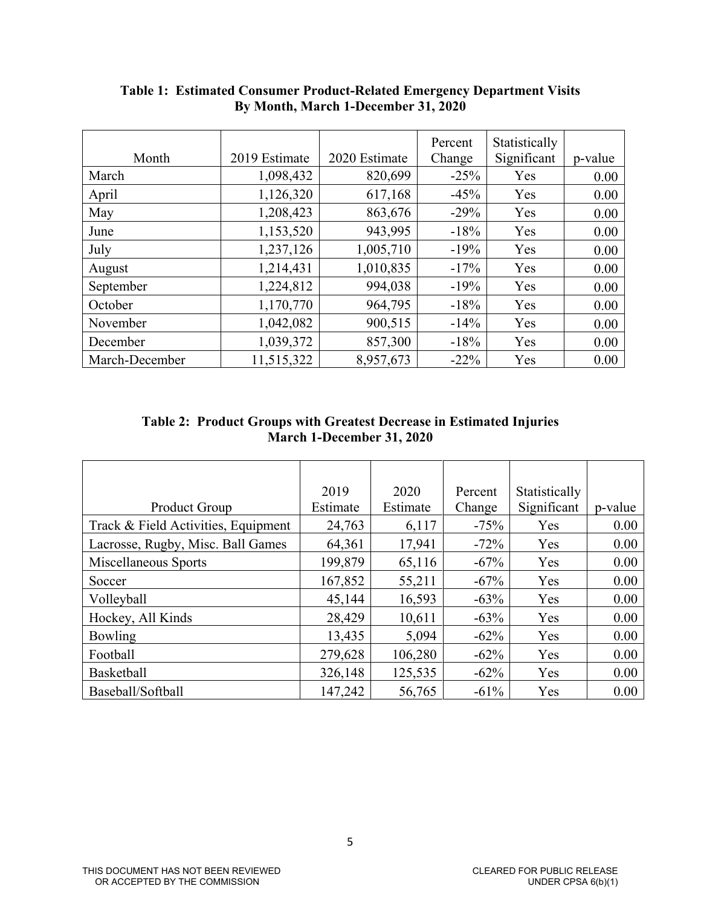|                |               |               | Percent | Statistically |         |
|----------------|---------------|---------------|---------|---------------|---------|
| Month          | 2019 Estimate | 2020 Estimate | Change  | Significant   | p-value |
| March          | 1,098,432     | 820,699       | $-25%$  | Yes           | 0.00    |
| April          | 1,126,320     | 617,168       | $-45%$  | Yes           | 0.00    |
| May            | 1,208,423     | 863,676       | $-29%$  | Yes           | 0.00    |
| June           | 1,153,520     | 943,995       | $-18%$  | Yes           | 0.00    |
| July           | 1,237,126     | 1,005,710     | $-19%$  | Yes           | 0.00    |
| August         | 1,214,431     | 1,010,835     | $-17%$  | Yes           | 0.00    |
| September      | 1,224,812     | 994,038       | $-19%$  | Yes           | 0.00    |
| October        | 1,170,770     | 964,795       | $-18%$  | Yes           | 0.00    |
| November       | 1,042,082     | 900,515       | $-14%$  | Yes           | 0.00    |
| December       | 1,039,372     | 857,300       | $-18%$  | Yes           | 0.00    |
| March-December | 11,515,322    | 8,957,673     | $-22\%$ | Yes           | 0.00    |

**Table 1: Estimated Consumer Product-Related Emergency Department Visits By Month, March 1-December 31, 2020** 

| <b>Table 2: Product Groups with Greatest Decrease in Estimated Injuries</b> |
|-----------------------------------------------------------------------------|
| March 1-December 31, 2020                                                   |

|                                     | 2019     | 2020     | Percent | Statistically |         |
|-------------------------------------|----------|----------|---------|---------------|---------|
| <b>Product Group</b>                | Estimate | Estimate | Change  | Significant   | p-value |
| Track & Field Activities, Equipment | 24,763   | 6,117    | $-75%$  | Yes           | 0.00    |
| Lacrosse, Rugby, Misc. Ball Games   | 64,361   | 17,941   | $-72%$  | Yes           | 0.00    |
| Miscellaneous Sports                | 199,879  | 65,116   | $-67%$  | Yes           | 0.00    |
| Soccer                              | 167,852  | 55,211   | $-67%$  | Yes           | 0.00    |
| Volleyball                          | 45,144   | 16,593   | $-63%$  | Yes           | 0.00    |
| Hockey, All Kinds                   | 28,429   | 10,611   | $-63%$  | Yes           | 0.00    |
| Bowling                             | 13,435   | 5,094    | $-62%$  | Yes           | 0.00    |
| Football                            | 279,628  | 106,280  | $-62%$  | Yes           | 0.00    |
| Basketball                          | 326,148  | 125,535  | $-62%$  | Yes           | 0.00    |
| Baseball/Softball                   | 147,242  | 56,765   | $-61%$  | Yes           | 0.00    |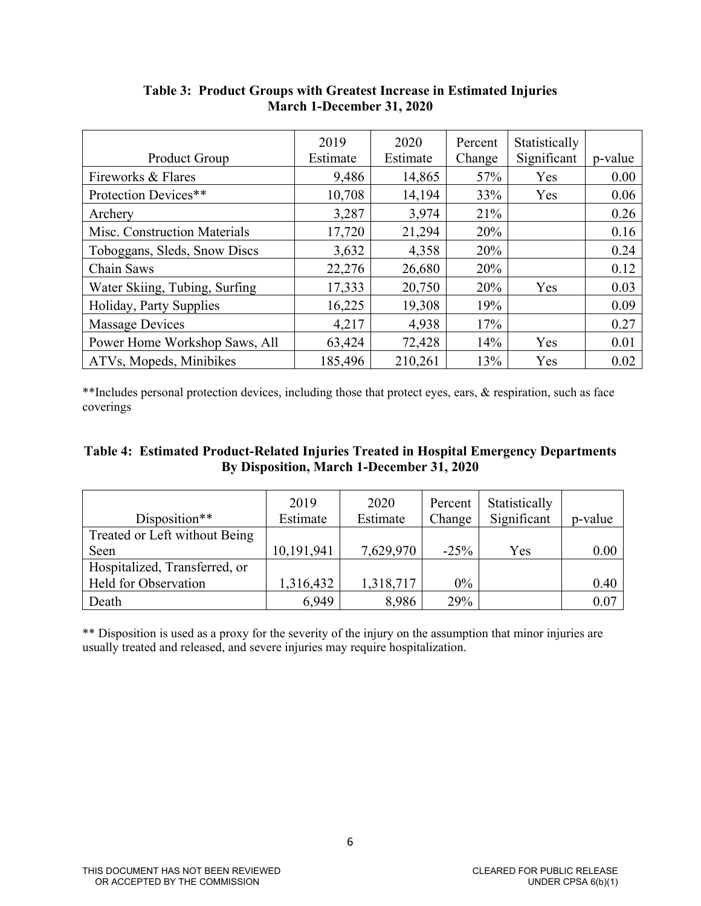|                               | 2019     | 2020     | Percent | Statistically |         |
|-------------------------------|----------|----------|---------|---------------|---------|
| Product Group                 | Estimate | Estimate | Change  | Significant   | p-value |
| Fireworks & Flares            | 9,486    | 14,865   | 57%     | Yes           | 0.00    |
| Protection Devices**          | 10,708   | 14,194   | 33%     | Yes           | 0.06    |
| Archery                       | 3,287    | 3,974    | 21%     |               | 0.26    |
| Misc. Construction Materials  | 17,720   | 21,294   | 20%     |               | 0.16    |
| Toboggans, Sleds, Snow Discs  | 3,632    | 4,358    | 20%     |               | 0.24    |
| Chain Saws                    | 22,276   | 26,680   | 20%     |               | 0.12    |
| Water Skiing, Tubing, Surfing | 17,333   | 20,750   | 20%     | Yes           | 0.03    |
| Holiday, Party Supplies       | 16,225   | 19,308   | 19%     |               | 0.09    |
| <b>Massage Devices</b>        | 4,217    | 4,938    | 17%     |               | 0.27    |
| Power Home Workshop Saws, All | 63,424   | 72,428   | 14%     | Yes           | 0.01    |
| ATVs, Mopeds, Minibikes       | 185,496  | 210,261  | 13%     | Yes           | 0.02    |

## **Table 3: Product Groups with Greatest Increase in Estimated Injuries March 1-December 31, 2020**

\*\*Includes personal protection devices, including those that protect eyes, ears, & respiration, such as face coverings

### **Table 4: Estimated Product-Related Injuries Treated in Hospital Emergency Departments By Disposition, March 1-December 31, 2020**

| Disposition**                 | 2019<br>Estimate | 2020<br>Estimate | Percent<br>Change | Statistically<br>Significant | p-value |
|-------------------------------|------------------|------------------|-------------------|------------------------------|---------|
| Treated or Left without Being |                  |                  |                   |                              |         |
| Seen                          | 10,191,941       | 7,629,970        | $-25%$            | Yes                          | 0.00    |
| Hospitalized, Transferred, or |                  |                  |                   |                              |         |
| Held for Observation          | 1,316,432        | 1,318,717        | 0%                |                              | 0.40    |
| Death                         | 6,949            | 8,986            | 29%               |                              | 0.07    |

\*\* Disposition is used as a proxy for the severity of the injury on the assumption that minor injuries are usually treated and released, and severe injuries may require hospitalization.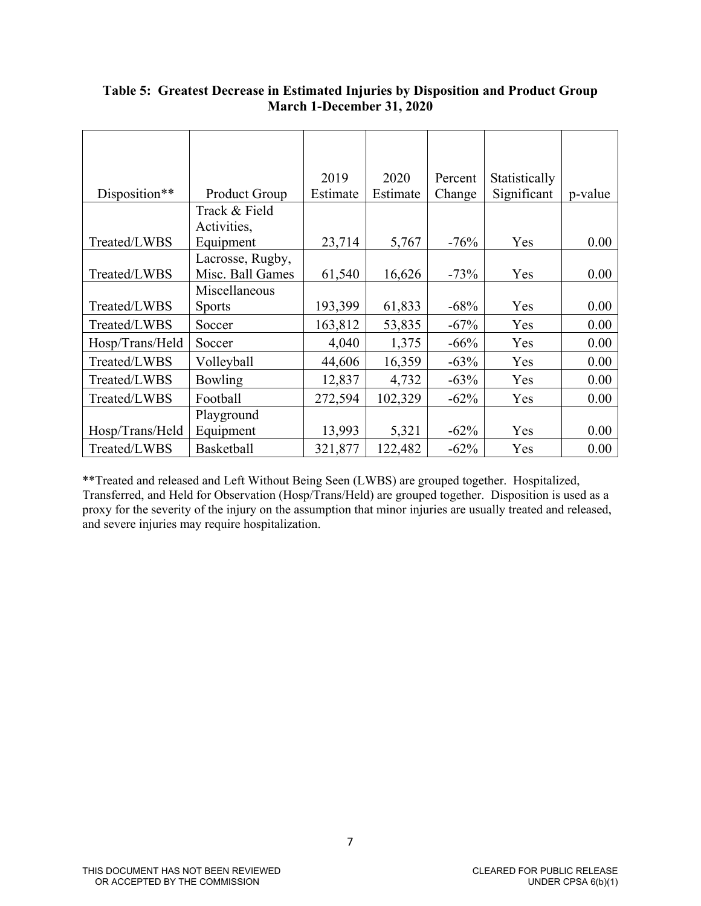|                 |                      | 2019     | 2020     | Percent | Statistically |         |
|-----------------|----------------------|----------|----------|---------|---------------|---------|
| Disposition**   | <b>Product Group</b> | Estimate | Estimate | Change  | Significant   | p-value |
|                 | Track & Field        |          |          |         |               |         |
|                 | Activities,          |          |          |         |               |         |
| Treated/LWBS    | Equipment            | 23,714   | 5,767    | $-76%$  | Yes           | 0.00    |
|                 | Lacrosse, Rugby,     |          |          |         |               |         |
| Treated/LWBS    | Misc. Ball Games     | 61,540   | 16,626   | $-73%$  | Yes           | 0.00    |
|                 | Miscellaneous        |          |          |         |               |         |
| Treated/LWBS    | <b>Sports</b>        | 193,399  | 61,833   | $-68%$  | Yes           | 0.00    |
| Treated/LWBS    | Soccer               | 163,812  | 53,835   | $-67%$  | Yes           | 0.00    |
| Hosp/Trans/Held | Soccer               | 4,040    | 1,375    | $-66%$  | Yes           | 0.00    |
| Treated/LWBS    | Volleyball           | 44,606   | 16,359   | $-63%$  | Yes           | 0.00    |
| Treated/LWBS    | <b>Bowling</b>       | 12,837   | 4,732    | $-63%$  | Yes           | 0.00    |
| Treated/LWBS    | Football             | 272,594  | 102,329  | $-62%$  | Yes           | 0.00    |
|                 | Playground           |          |          |         |               |         |
| Hosp/Trans/Held | Equipment            | 13,993   | 5,321    | $-62%$  | Yes           | 0.00    |
| Treated/LWBS    | <b>Basketball</b>    | 321,877  | 122,482  | $-62%$  | Yes           | 0.00    |

## **Table 5: Greatest Decrease in Estimated Injuries by Disposition and Product Group March 1-December 31, 2020**

\*\*Treated and released and Left Without Being Seen (LWBS) are grouped together. Hospitalized, Transferred, and Held for Observation (Hosp/Trans/Held) are grouped together. Disposition is used as a proxy for the severity of the injury on the assumption that minor injuries are usually treated and released, and severe injuries may require hospitalization.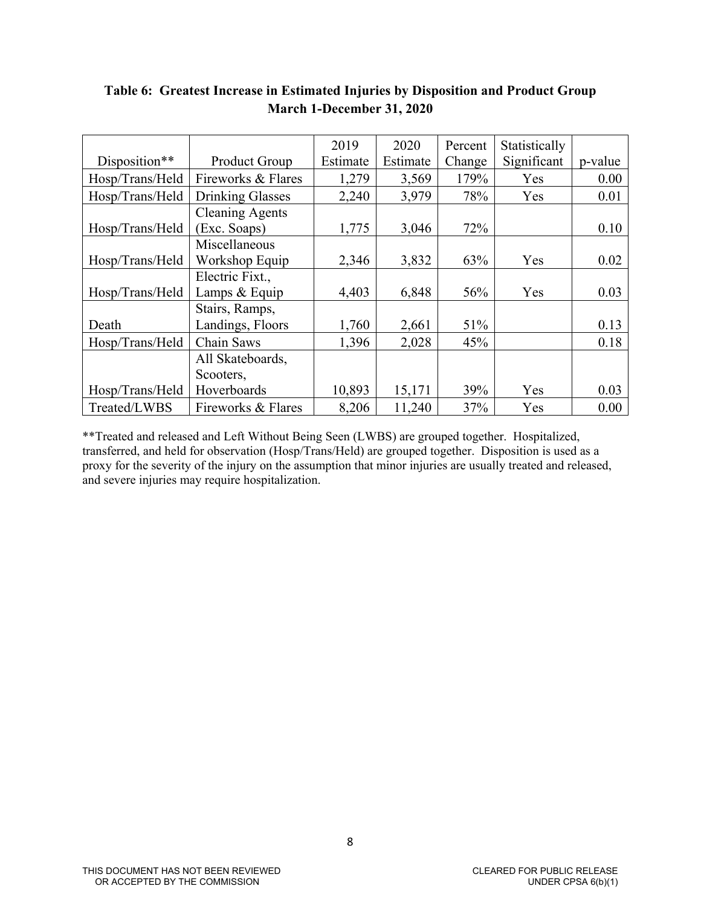|                 |                         | 2019     | 2020     | Percent | Statistically |         |
|-----------------|-------------------------|----------|----------|---------|---------------|---------|
| Disposition**   | Product Group           | Estimate | Estimate | Change  | Significant   | p-value |
| Hosp/Trans/Held | Fireworks & Flares      | 1,279    | 3,569    | 179%    | Yes           | 0.00    |
| Hosp/Trans/Held | <b>Drinking Glasses</b> | 2,240    | 3,979    | 78%     | Yes           | 0.01    |
|                 | <b>Cleaning Agents</b>  |          |          |         |               |         |
| Hosp/Trans/Held | (Exc. Soaps)            | 1,775    | 3,046    | 72%     |               | 0.10    |
|                 | Miscellaneous           |          |          |         |               |         |
| Hosp/Trans/Held | Workshop Equip          | 2,346    | 3,832    | 63%     | Yes           | 0.02    |
|                 | Electric Fixt.,         |          |          |         |               |         |
| Hosp/Trans/Held | Lamps & Equip           | 4,403    | 6,848    | 56%     | Yes           | 0.03    |
|                 | Stairs, Ramps,          |          |          |         |               |         |
| Death           | Landings, Floors        | 1,760    | 2,661    | 51%     |               | 0.13    |
| Hosp/Trans/Held | Chain Saws              | 1,396    | 2,028    | 45%     |               | 0.18    |
|                 | All Skateboards,        |          |          |         |               |         |
|                 | Scooters,               |          |          |         |               |         |
| Hosp/Trans/Held | Hoverboards             | 10,893   | 15,171   | 39%     | Yes           | 0.03    |
| Treated/LWBS    | Fireworks & Flares      | 8,206    | 11,240   | 37%     | Yes           | 0.00    |

# **Table 6: Greatest Increase in Estimated Injuries by Disposition and Product Group March 1-December 31, 2020**

\*\*Treated and released and Left Without Being Seen (LWBS) are grouped together. Hospitalized, transferred, and held for observation (Hosp/Trans/Held) are grouped together. Disposition is used as a proxy for the severity of the injury on the assumption that minor injuries are usually treated and released, and severe injuries may require hospitalization.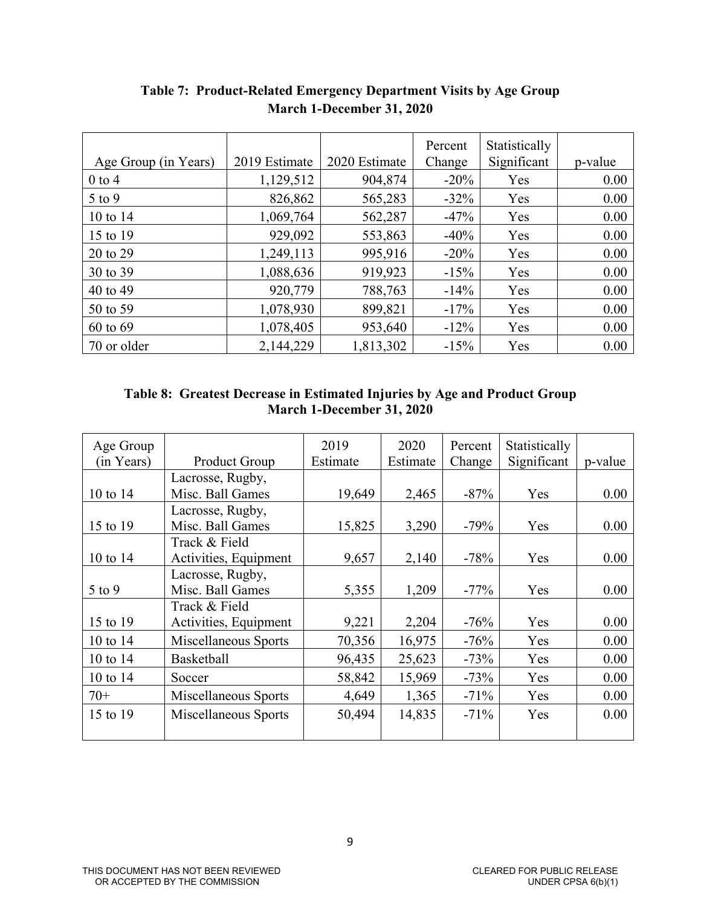|                      |               |               | Percent | Statistically |         |
|----------------------|---------------|---------------|---------|---------------|---------|
| Age Group (in Years) | 2019 Estimate | 2020 Estimate | Change  | Significant   | p-value |
| $0$ to 4             | 1,129,512     | 904,874       | $-20\%$ | Yes           | 0.00    |
| $5$ to $9$           | 826,862       | 565,283       | $-32\%$ | Yes           | 0.00    |
| 10 to 14             | 1,069,764     | 562,287       | $-47%$  | Yes           | 0.00    |
| 15 to 19             | 929,092       | 553,863       | $-40%$  | Yes           | 0.00    |
| 20 to 29             | 1,249,113     | 995,916       | $-20%$  | Yes           | 0.00    |
| 30 to 39             | 1,088,636     | 919,923       | $-15%$  | Yes           | 0.00    |
| 40 to 49             | 920,779       | 788,763       | $-14%$  | Yes           | 0.00    |
| 50 to 59             | 1,078,930     | 899,821       | $-17%$  | Yes           | 0.00    |
| 60 to 69             | 1,078,405     | 953,640       | $-12\%$ | Yes           | 0.00    |
| 70 or older          | 2,144,229     | 1,813,302     | $-15%$  | Yes           | 0.00    |

# **Table 7: Product-Related Emergency Department Visits by Age Group March 1-December 31, 2020**

# **Table 8: Greatest Decrease in Estimated Injuries by Age and Product Group March 1-December 31, 2020**

| Age Group  |                       | 2019     | 2020     | Percent | Statistically |         |
|------------|-----------------------|----------|----------|---------|---------------|---------|
| (in Years) | Product Group         | Estimate | Estimate | Change  | Significant   | p-value |
|            | Lacrosse, Rugby,      |          |          |         |               |         |
| 10 to 14   | Misc. Ball Games      | 19,649   | 2,465    | $-87%$  | Yes           | 0.00    |
|            | Lacrosse, Rugby,      |          |          |         |               |         |
| 15 to 19   | Misc. Ball Games      | 15,825   | 3,290    | $-79%$  | Yes           | 0.00    |
|            | Track & Field         |          |          |         |               |         |
| 10 to 14   | Activities, Equipment | 9,657    | 2,140    | $-78%$  | Yes           | 0.00    |
|            | Lacrosse, Rugby,      |          |          |         |               |         |
| $5$ to $9$ | Misc. Ball Games      | 5,355    | 1,209    | $-77\%$ | Yes           | 0.00    |
|            | Track & Field         |          |          |         |               |         |
| 15 to 19   | Activities, Equipment | 9,221    | 2,204    | $-76%$  | Yes           | 0.00    |
| 10 to 14   | Miscellaneous Sports  | 70,356   | 16,975   | $-76%$  | Yes           | 0.00    |
| 10 to $14$ | <b>Basketball</b>     | 96,435   | 25,623   | $-73%$  | Yes           | 0.00    |
| 10 to 14   | Soccer                | 58,842   | 15,969   | $-73%$  | Yes           | 0.00    |
| $70+$      | Miscellaneous Sports  | 4,649    | 1,365    | $-71%$  | Yes           | 0.00    |
| 15 to 19   | Miscellaneous Sports  | 50,494   | 14,835   | $-71%$  | Yes           | 0.00    |
|            |                       |          |          |         |               |         |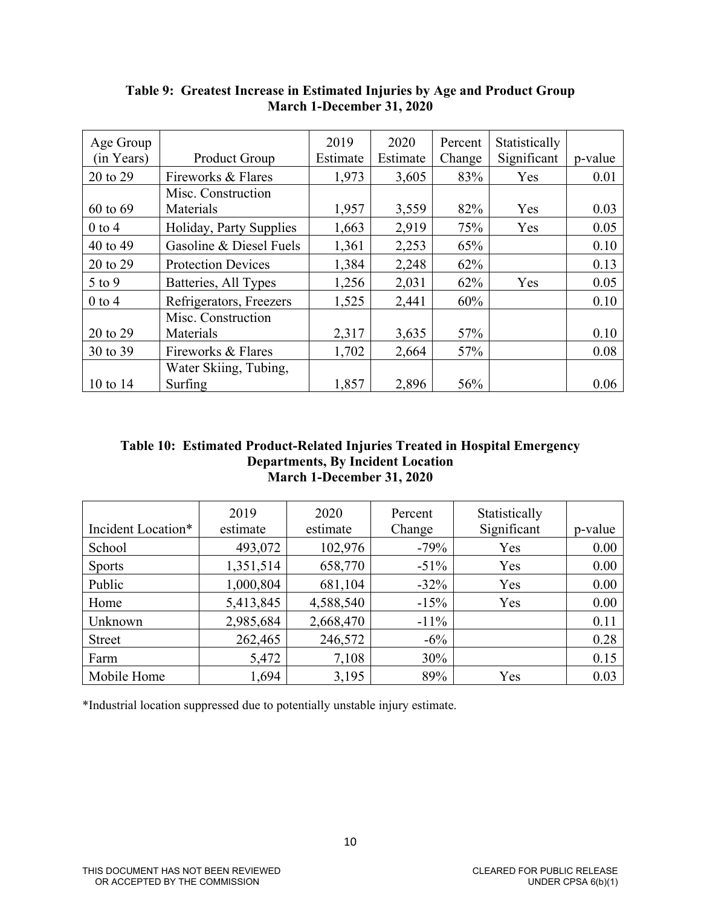| Age Group    |                           | 2019     | 2020     | Percent | Statistically |         |
|--------------|---------------------------|----------|----------|---------|---------------|---------|
| (in Years)   | <b>Product Group</b>      | Estimate | Estimate | Change  | Significant   | p-value |
| 20 to 29     | Fireworks & Flares        | 1,973    | 3,605    | 83%     | Yes           | 0.01    |
|              | Misc. Construction        |          |          |         |               |         |
| $60$ to $69$ | Materials                 | 1,957    | 3,559    | 82%     | Yes           | 0.03    |
| $0$ to 4     | Holiday, Party Supplies   | 1,663    | 2,919    | 75%     | Yes           | 0.05    |
| 40 to 49     | Gasoline & Diesel Fuels   | 1,361    | 2,253    | 65%     |               | 0.10    |
| 20 to 29     | <b>Protection Devices</b> | 1,384    | 2,248    | 62%     |               | 0.13    |
| $5$ to 9     | Batteries, All Types      | 1,256    | 2,031    | 62%     | Yes           | 0.05    |
| $0$ to 4     | Refrigerators, Freezers   | 1,525    | 2,441    | 60%     |               | 0.10    |
|              | Misc. Construction        |          |          |         |               |         |
| 20 to 29     | Materials                 | 2,317    | 3,635    | 57%     |               | 0.10    |
| 30 to 39     | Fireworks & Flares        | 1,702    | 2,664    | 57%     |               | 0.08    |
|              | Water Skiing, Tubing,     |          |          |         |               |         |
| 10 to $14$   | Surfing                   | 1,857    | 2,896    | 56%     |               | 0.06    |

**Table 9: Greatest Increase in Estimated Injuries by Age and Product Group March 1-December 31, 2020** 

### **Table 10: Estimated Product-Related Injuries Treated in Hospital Emergency Departments, By Incident Location March 1-December 31, 2020**

| Incident Location* | 2019<br>estimate | 2020<br>estimate | Percent<br>Change | Statistically<br>Significant | p-value |
|--------------------|------------------|------------------|-------------------|------------------------------|---------|
| School             | 493,072          | 102,976          | $-79%$            | Yes                          | 0.00    |
| <b>Sports</b>      | 1,351,514        | 658,770          | $-51\%$           | Yes                          | 0.00    |
| Public             | 1,000,804        | 681,104          | $-32%$            | Yes                          | 0.00    |
| Home               | 5,413,845        | 4,588,540        | $-15%$            | Yes                          | 0.00    |
| Unknown            | 2,985,684        | 2,668,470        | $-11\%$           |                              | 0.11    |
| <b>Street</b>      | 262,465          | 246,572          | $-6\%$            |                              | 0.28    |
| Farm               | 5,472            | 7,108            | 30%               |                              | 0.15    |
| Mobile Home        | 1,694            | 3,195            | 89%               | Yes                          | 0.03    |

\*Industrial location suppressed due to potentially unstable injury estimate.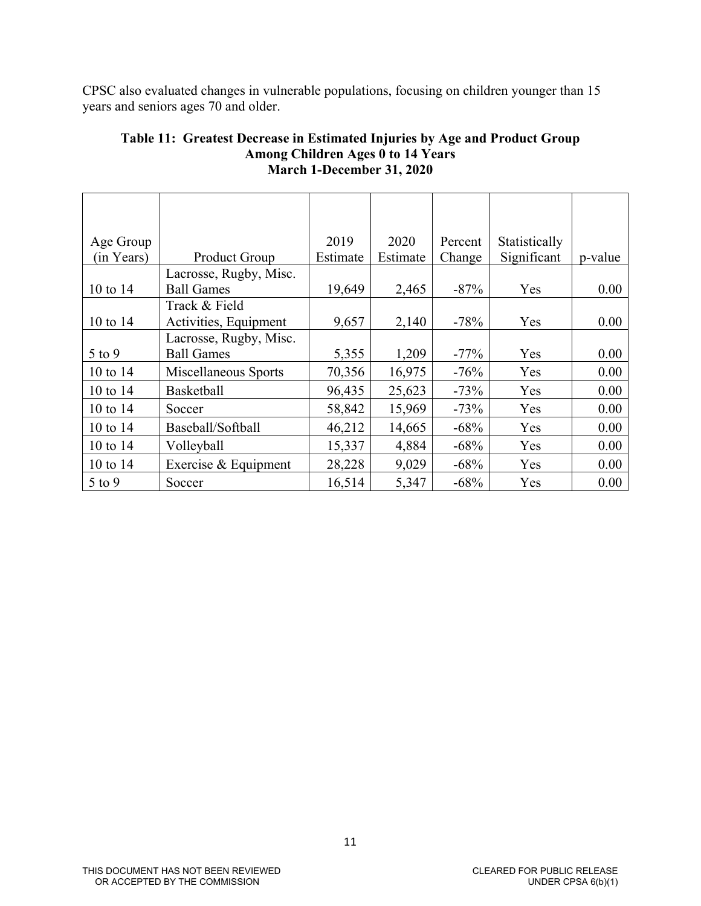CPSC also evaluated changes in vulnerable populations, focusing on children younger than 15 years and seniors ages 70 and older.

| Age Group  |                        | 2019     | 2020     | Percent | Statistically |         |
|------------|------------------------|----------|----------|---------|---------------|---------|
| (in Years) | Product Group          | Estimate | Estimate | Change  | Significant   | p-value |
|            | Lacrosse, Rugby, Misc. |          |          |         |               |         |
| 10 to 14   | <b>Ball Games</b>      | 19,649   | 2,465    | $-87%$  | Yes           | 0.00    |
|            | Track & Field          |          |          |         |               |         |
| 10 to 14   | Activities, Equipment  | 9,657    | 2,140    | $-78%$  | Yes           | 0.00    |
|            | Lacrosse, Rugby, Misc. |          |          |         |               |         |
| $5$ to $9$ | <b>Ball Games</b>      | 5,355    | 1,209    | $-77\%$ | Yes           | 0.00    |
| 10 to 14   | Miscellaneous Sports   | 70,356   | 16,975   | $-76%$  | Yes           | 0.00    |
| 10 to $14$ | <b>Basketball</b>      | 96,435   | 25,623   | $-73%$  | Yes           | 0.00    |
| 10 to $14$ | Soccer                 | 58,842   | 15,969   | $-73%$  | Yes           | 0.00    |
| 10 to 14   | Baseball/Softball      | 46,212   | 14,665   | $-68%$  | Yes           | 0.00    |
| 10 to 14   | Volleyball             | 15,337   | 4,884    | $-68%$  | Yes           | 0.00    |
| 10 to $14$ | Exercise & Equipment   | 28,228   | 9,029    | $-68%$  | Yes           | 0.00    |
| $5$ to 9   | Soccer                 | 16,514   | 5,347    | $-68%$  | Yes           | 0.00    |

### **Table 11: Greatest Decrease in Estimated Injuries by Age and Product Group Among Children Ages 0 to 14 Years March 1-December 31, 2020**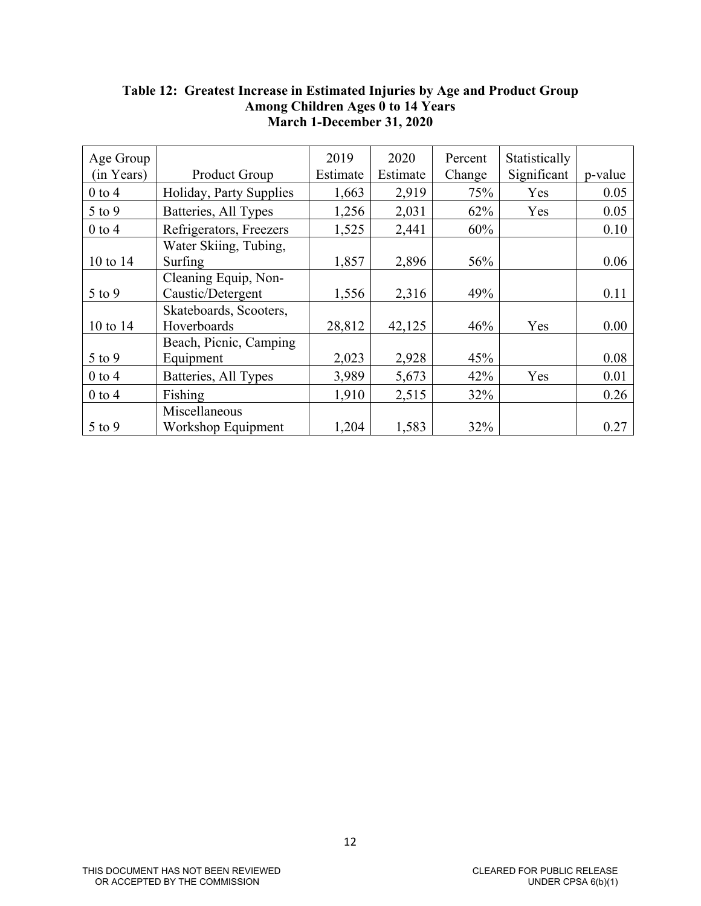| Age Group  |                         | 2019     | 2020     | Percent | Statistically |         |
|------------|-------------------------|----------|----------|---------|---------------|---------|
| (in Years) | <b>Product Group</b>    | Estimate | Estimate | Change  | Significant   | p-value |
| $0$ to 4   | Holiday, Party Supplies | 1,663    | 2,919    | 75%     | Yes           | 0.05    |
| 5 to 9     | Batteries, All Types    | 1,256    | 2,031    | 62%     | Yes           | 0.05    |
| $0$ to 4   | Refrigerators, Freezers | 1,525    | 2,441    | 60%     |               | 0.10    |
|            | Water Skiing, Tubing,   |          |          |         |               |         |
| 10 to 14   | Surfing                 | 1,857    | 2,896    | 56%     |               | 0.06    |
|            | Cleaning Equip, Non-    |          |          |         |               |         |
| $5$ to $9$ | Caustic/Detergent       | 1,556    | 2,316    | 49%     |               | 0.11    |
|            | Skateboards, Scooters,  |          |          |         |               |         |
| 10 to 14   | Hoverboards             | 28,812   | 42,125   | 46%     | Yes           | 0.00    |
|            | Beach, Picnic, Camping  |          |          |         |               |         |
| $5$ to $9$ | Equipment               | 2,023    | 2,928    | 45%     |               | 0.08    |
| $0$ to $4$ | Batteries, All Types    | 3,989    | 5,673    | 42%     | Yes           | 0.01    |
| $0$ to $4$ | Fishing                 | 1,910    | 2,515    | 32%     |               | 0.26    |
|            | Miscellaneous           |          |          |         |               |         |
| $5$ to $9$ | Workshop Equipment      | 1,204    | 1,583    | 32%     |               | 0.27    |

## **Table 12: Greatest Increase in Estimated Injuries by Age and Product Group Among Children Ages 0 to 14 Years March 1-December 31, 2020**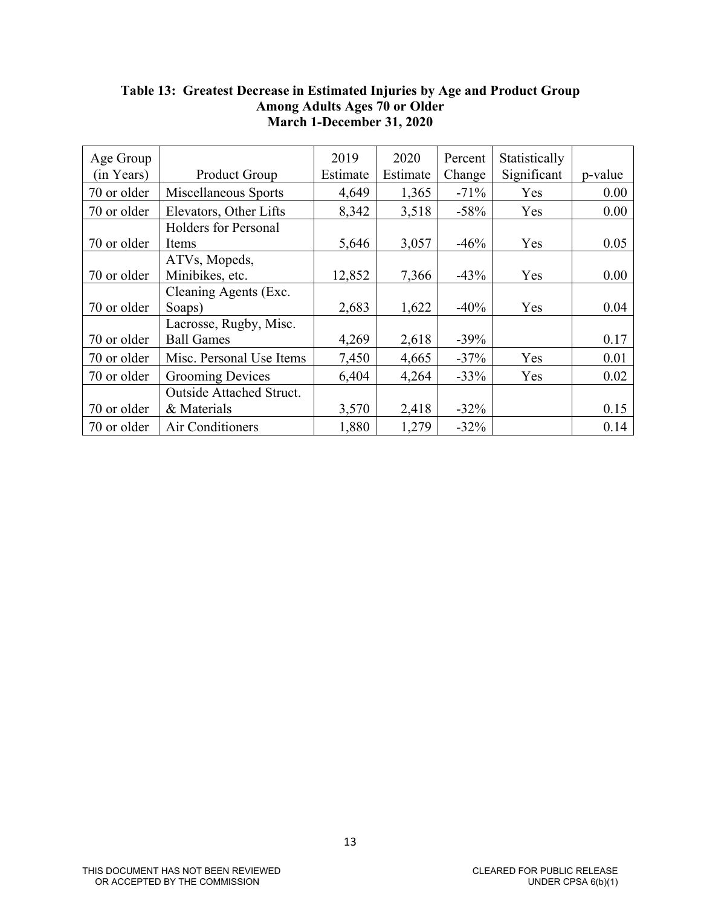| Age Group   |                             | 2019     | 2020     | Percent | Statistically |         |
|-------------|-----------------------------|----------|----------|---------|---------------|---------|
| (in Years)  | <b>Product Group</b>        | Estimate | Estimate | Change  | Significant   | p-value |
| 70 or older | Miscellaneous Sports        | 4,649    | 1,365    | $-71%$  | Yes           | 0.00    |
| 70 or older | Elevators, Other Lifts      | 8,342    | 3,518    | $-58%$  | Yes           | 0.00    |
|             | <b>Holders for Personal</b> |          |          |         |               |         |
| 70 or older | Items                       | 5,646    | 3,057    | $-46%$  | Yes           | 0.05    |
|             | ATVs, Mopeds,               |          |          |         |               |         |
| 70 or older | Minibikes, etc.             | 12,852   | 7,366    | $-43%$  | Yes           | 0.00    |
|             | Cleaning Agents (Exc.       |          |          |         |               |         |
| 70 or older | Soaps)                      | 2,683    | 1,622    | $-40%$  | Yes           | 0.04    |
|             | Lacrosse, Rugby, Misc.      |          |          |         |               |         |
| 70 or older | <b>Ball Games</b>           | 4,269    | 2,618    | $-39%$  |               | 0.17    |
| 70 or older | Misc. Personal Use Items    | 7,450    | 4,665    | $-37%$  | Yes           | 0.01    |
| 70 or older | <b>Grooming Devices</b>     | 6,404    | 4,264    | $-33%$  | Yes           | 0.02    |
|             | Outside Attached Struct.    |          |          |         |               |         |
| 70 or older | & Materials                 | 3,570    | 2,418    | $-32\%$ |               | 0.15    |
| 70 or older | Air Conditioners            | 1,880    | 1,279    | $-32%$  |               | 0.14    |

## **Table 13: Greatest Decrease in Estimated Injuries by Age and Product Group Among Adults Ages 70 or Older March 1-December 31, 2020**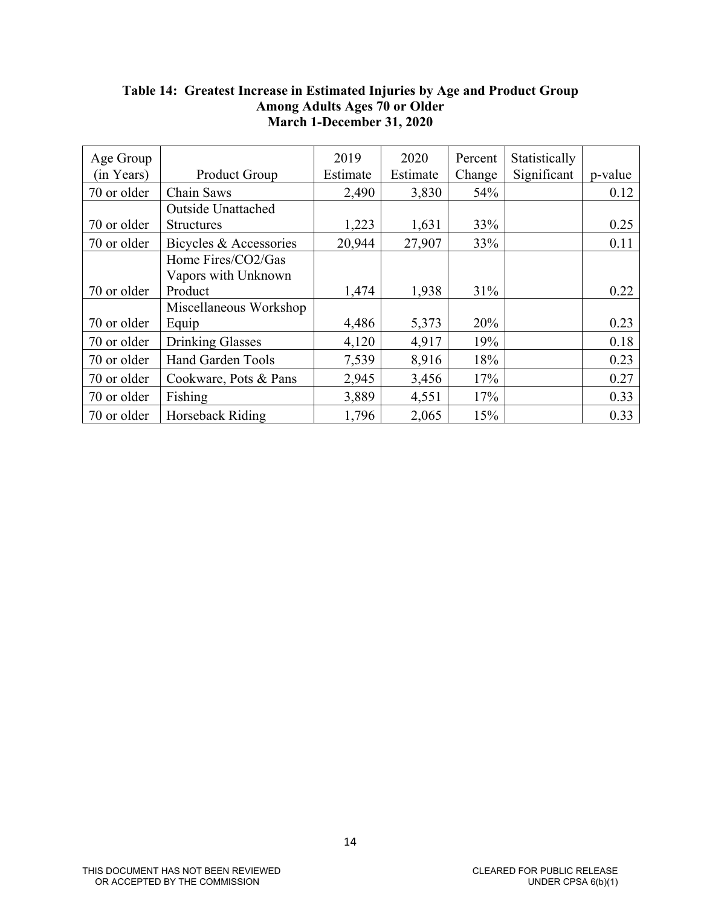| Age Group   |                           | 2019     | 2020     | Percent | Statistically |         |
|-------------|---------------------------|----------|----------|---------|---------------|---------|
| (in Years)  | <b>Product Group</b>      | Estimate | Estimate | Change  | Significant   | p-value |
| 70 or older | Chain Saws                | 2,490    | 3,830    | 54%     |               | 0.12    |
|             | <b>Outside Unattached</b> |          |          |         |               |         |
| 70 or older | <b>Structures</b>         | 1,223    | 1,631    | 33%     |               | 0.25    |
| 70 or older | Bicycles & Accessories    | 20,944   | 27,907   | 33%     |               | 0.11    |
|             | Home Fires/CO2/Gas        |          |          |         |               |         |
|             | Vapors with Unknown       |          |          |         |               |         |
| 70 or older | Product                   | 1,474    | 1,938    | 31%     |               | 0.22    |
|             | Miscellaneous Workshop    |          |          |         |               |         |
| 70 or older | Equip                     | 4,486    | 5,373    | 20%     |               | 0.23    |
| 70 or older | <b>Drinking Glasses</b>   | 4,120    | 4,917    | 19%     |               | 0.18    |
| 70 or older | Hand Garden Tools         | 7,539    | 8,916    | 18%     |               | 0.23    |
| 70 or older | Cookware, Pots & Pans     | 2,945    | 3,456    | 17%     |               | 0.27    |
| 70 or older | Fishing                   | 3,889    | 4,551    | 17%     |               | 0.33    |
| 70 or older | Horseback Riding          | 1,796    | 2,065    | 15%     |               | 0.33    |

## **Table 14: Greatest Increase in Estimated Injuries by Age and Product Group Among Adults Ages 70 or Older March 1-December 31, 2020**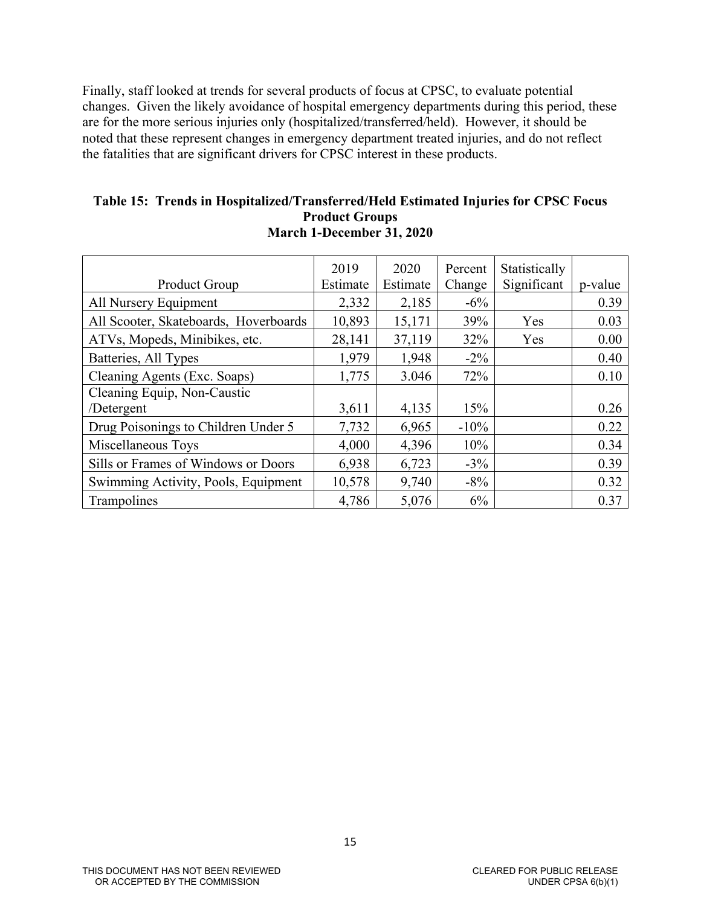Finally, staff looked at trends for several products of focus at CPSC, to evaluate potential changes. Given the likely avoidance of hospital emergency departments during this period, these are for the more serious injuries only (hospitalized/transferred/held). However, it should be noted that these represent changes in emergency department treated injuries, and do not reflect the fatalities that are significant drivers for CPSC interest in these products.

#### **Table 15: Trends in Hospitalized/Transferred/Held Estimated Injuries for CPSC Focus Product Groups March 1-December 31, 2020**

|                                       | 2019     | 2020     | Percent | Statistically |         |
|---------------------------------------|----------|----------|---------|---------------|---------|
| Product Group                         | Estimate | Estimate | Change  | Significant   | p-value |
| All Nursery Equipment                 | 2,332    | 2,185    | $-6\%$  |               | 0.39    |
| All Scooter, Skateboards, Hoverboards | 10,893   | 15,171   | 39%     | Yes           | 0.03    |
| ATVs, Mopeds, Minibikes, etc.         | 28,141   | 37,119   | 32%     | Yes           | 0.00    |
| Batteries, All Types                  | 1,979    | 1,948    | $-2\%$  |               | 0.40    |
| Cleaning Agents (Exc. Soaps)          | 1,775    | 3.046    | 72%     |               | 0.10    |
| Cleaning Equip, Non-Caustic           |          |          |         |               |         |
| /Detergent                            | 3,611    | 4,135    | 15%     |               | 0.26    |
| Drug Poisonings to Children Under 5   | 7,732    | 6,965    | $-10%$  |               | 0.22    |
| Miscellaneous Toys                    | 4,000    | 4,396    | 10%     |               | 0.34    |
| Sills or Frames of Windows or Doors   | 6,938    | 6,723    | $-3\%$  |               | 0.39    |
| Swimming Activity, Pools, Equipment   | 10,578   | 9,740    | $-8\%$  |               | 0.32    |
| Trampolines                           | 4,786    | 5,076    | 6%      |               | 0.37    |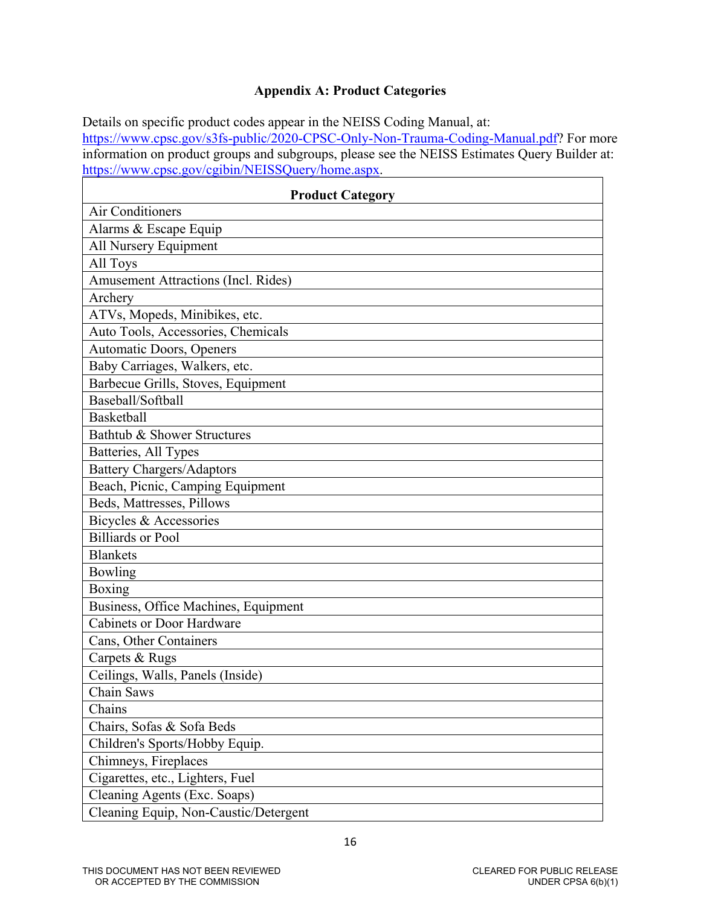# **Appendix A: Product Categories**

Details on specific product codes appear in the NEISS Coding Manual, at: [https://www.cpsc.gov/s3fs-public/2020-CPSC-Only-Non-Trauma-Coding-Manual.pdf?](https://www.cpsc.gov/s3fs-public/2020-CPSC-Only-Non-Trauma-Coding-Manual.pdf) For more information on product groups and subgroups, please see the NEISS Estimates Query Builder at: [https://www.cpsc.gov/cgibin/NEISSQuery/home.aspx.](https://www.cpsc.gov/cgibin/NEISSQuery/home.aspx)

| <b>Product Category</b>                    |
|--------------------------------------------|
| <b>Air Conditioners</b>                    |
| Alarms & Escape Equip                      |
| All Nursery Equipment                      |
| All Toys                                   |
| <b>Amusement Attractions (Incl. Rides)</b> |
| Archery                                    |
| ATVs, Mopeds, Minibikes, etc.              |
| Auto Tools, Accessories, Chemicals         |
| Automatic Doors, Openers                   |
| Baby Carriages, Walkers, etc.              |
| Barbecue Grills, Stoves, Equipment         |
| Baseball/Softball                          |
| <b>Basketball</b>                          |
| Bathtub & Shower Structures                |
| Batteries, All Types                       |
| <b>Battery Chargers/Adaptors</b>           |
| Beach, Picnic, Camping Equipment           |
| Beds, Mattresses, Pillows                  |
| Bicycles & Accessories                     |
| <b>Billiards or Pool</b>                   |
| <b>Blankets</b>                            |
| Bowling                                    |
| Boxing                                     |
| Business, Office Machines, Equipment       |
| <b>Cabinets or Door Hardware</b>           |
| Cans, Other Containers                     |
| Carpets & Rugs                             |
| Ceilings, Walls, Panels (Inside)           |
| Chain Saws                                 |
| Chains                                     |
| Chairs, Sofas & Sofa Beds                  |
| Children's Sports/Hobby Equip.             |
| Chimneys, Fireplaces                       |
| Cigarettes, etc., Lighters, Fuel           |
| Cleaning Agents (Exc. Soaps)               |
| Cleaning Equip, Non-Caustic/Detergent      |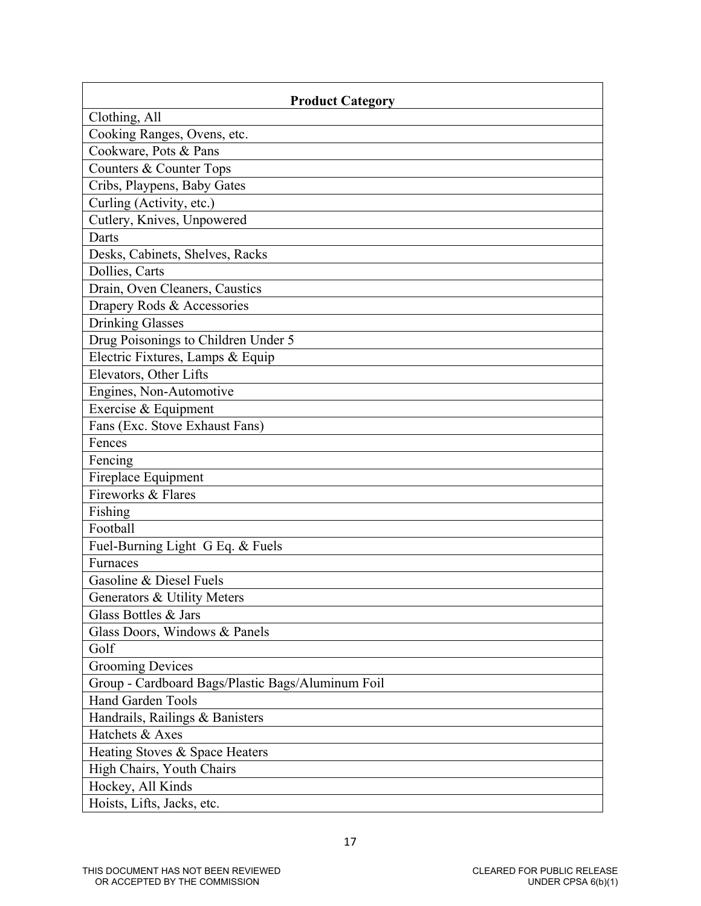| <b>Product Category</b>                           |
|---------------------------------------------------|
| Clothing, All                                     |
| Cooking Ranges, Ovens, etc.                       |
| Cookware, Pots & Pans                             |
| Counters & Counter Tops                           |
| Cribs, Playpens, Baby Gates                       |
| Curling (Activity, etc.)                          |
| Cutlery, Knives, Unpowered                        |
| Darts                                             |
| Desks, Cabinets, Shelves, Racks                   |
| Dollies, Carts                                    |
| Drain, Oven Cleaners, Caustics                    |
| Drapery Rods & Accessories                        |
| <b>Drinking Glasses</b>                           |
| Drug Poisonings to Children Under 5               |
| Electric Fixtures, Lamps & Equip                  |
| Elevators, Other Lifts                            |
| Engines, Non-Automotive                           |
| Exercise & Equipment                              |
| Fans (Exc. Stove Exhaust Fans)                    |
| Fences                                            |
| Fencing                                           |
| Fireplace Equipment                               |
| Fireworks & Flares                                |
| Fishing                                           |
| Football                                          |
| Fuel-Burning Light G Eq. & Fuels                  |
| Furnaces                                          |
| Gasoline & Diesel Fuels                           |
| Generators & Utility Meters                       |
| Glass Bottles & Jars                              |
| Glass Doors, Windows & Panels                     |
| Golf                                              |
| <b>Grooming Devices</b>                           |
| Group - Cardboard Bags/Plastic Bags/Aluminum Foil |
| <b>Hand Garden Tools</b>                          |
| Handrails, Railings & Banisters                   |
| Hatchets & Axes                                   |
| Heating Stoves & Space Heaters                    |
| High Chairs, Youth Chairs                         |
| Hockey, All Kinds                                 |
| Hoists, Lifts, Jacks, etc.                        |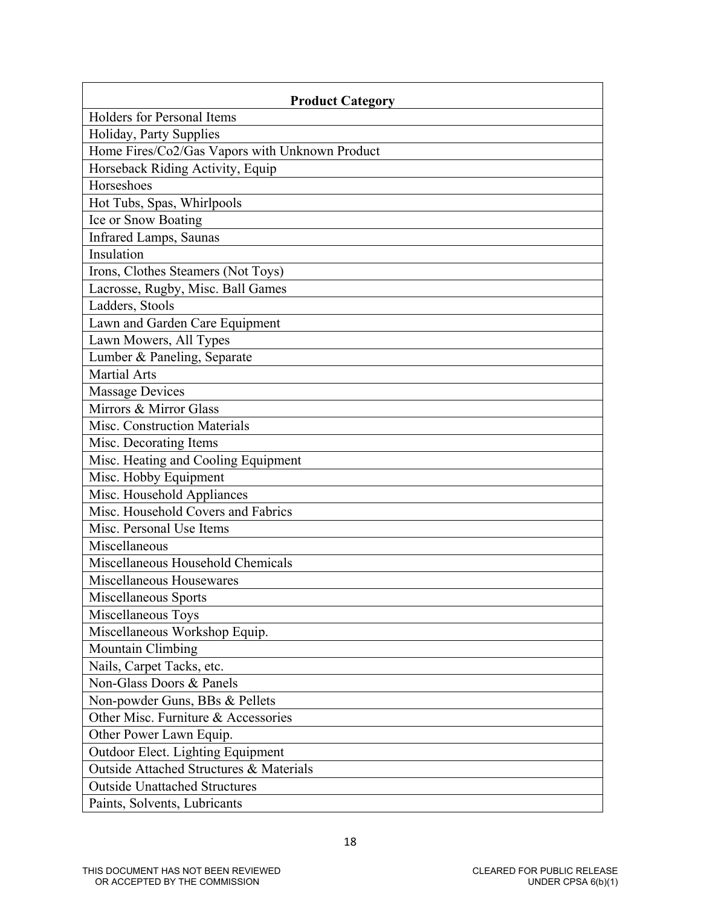| <b>Product Category</b>                        |
|------------------------------------------------|
| Holders for Personal Items                     |
| Holiday, Party Supplies                        |
| Home Fires/Co2/Gas Vapors with Unknown Product |
| Horseback Riding Activity, Equip               |
| Horseshoes                                     |
| Hot Tubs, Spas, Whirlpools                     |
| Ice or Snow Boating                            |
| <b>Infrared Lamps, Saunas</b>                  |
| Insulation                                     |
| Irons, Clothes Steamers (Not Toys)             |
| Lacrosse, Rugby, Misc. Ball Games              |
| Ladders, Stools                                |
| Lawn and Garden Care Equipment                 |
| Lawn Mowers, All Types                         |
| Lumber & Paneling, Separate                    |
| <b>Martial Arts</b>                            |
| <b>Massage Devices</b>                         |
| Mirrors & Mirror Glass                         |
| Misc. Construction Materials                   |
| Misc. Decorating Items                         |
| Misc. Heating and Cooling Equipment            |
| Misc. Hobby Equipment                          |
| Misc. Household Appliances                     |
| Misc. Household Covers and Fabrics             |
| Misc. Personal Use Items                       |
| Miscellaneous                                  |
| Miscellaneous Household Chemicals              |
| Miscellaneous Housewares                       |
| Miscellaneous Sports                           |
| Miscellaneous Toys                             |
| Miscellaneous Workshop Equip.                  |
| Mountain Climbing                              |
| Nails, Carpet Tacks, etc.                      |
| Non-Glass Doors & Panels                       |
| Non-powder Guns, BBs & Pellets                 |
| Other Misc. Furniture & Accessories            |
| Other Power Lawn Equip.                        |
| Outdoor Elect. Lighting Equipment              |
| Outside Attached Structures & Materials        |
| <b>Outside Unattached Structures</b>           |
| Paints, Solvents, Lubricants                   |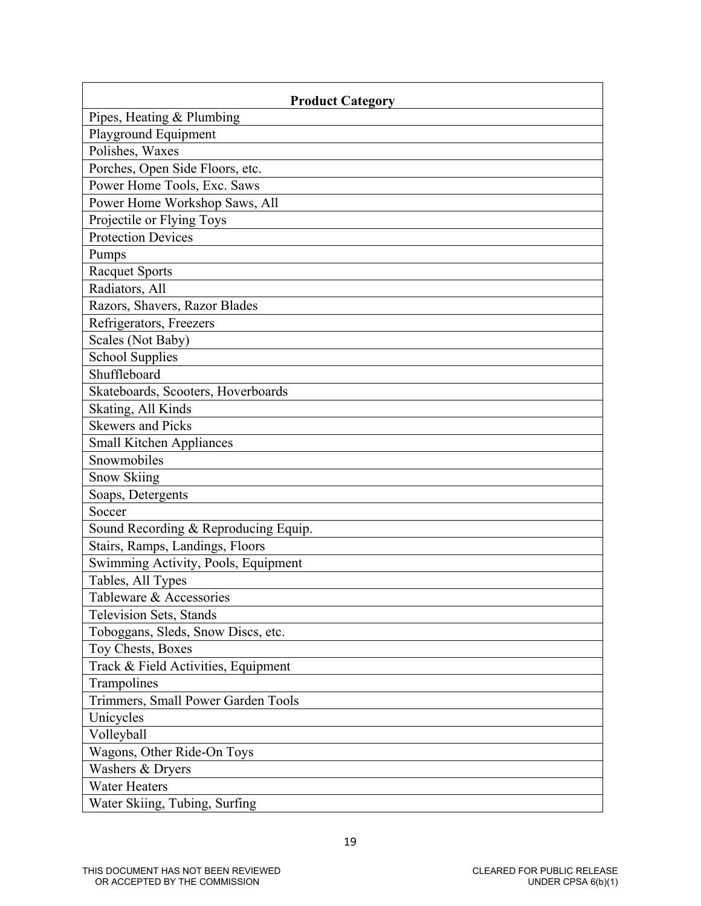| <b>Product Category</b>              |
|--------------------------------------|
| Pipes, Heating & Plumbing            |
| Playground Equipment                 |
| Polishes, Waxes                      |
| Porches, Open Side Floors, etc.      |
| Power Home Tools, Exc. Saws          |
| Power Home Workshop Saws, All        |
| Projectile or Flying Toys            |
| <b>Protection Devices</b>            |
| Pumps                                |
| <b>Racquet Sports</b>                |
| Radiators, All                       |
| Razors, Shavers, Razor Blades        |
| Refrigerators, Freezers              |
| Scales (Not Baby)                    |
| <b>School Supplies</b>               |
| Shuffleboard                         |
| Skateboards, Scooters, Hoverboards   |
| Skating, All Kinds                   |
| <b>Skewers and Picks</b>             |
| <b>Small Kitchen Appliances</b>      |
| Snowmobiles                          |
| Snow Skiing                          |
| Soaps, Detergents                    |
| Soccer                               |
| Sound Recording & Reproducing Equip. |
| Stairs, Ramps, Landings, Floors      |
| Swimming Activity, Pools, Equipment  |
| Tables, All Types                    |
| Tableware & Accessories              |
| Television Sets, Stands              |
| Toboggans, Sleds, Snow Discs, etc.   |
| Toy Chests, Boxes                    |
| Track & Field Activities, Equipment  |
| Trampolines                          |
| Trimmers, Small Power Garden Tools   |
| Unicycles                            |
| Volleyball                           |
| Wagons, Other Ride-On Toys           |
| Washers & Dryers                     |
| <b>Water Heaters</b>                 |
| Water Skiing, Tubing, Surfing        |